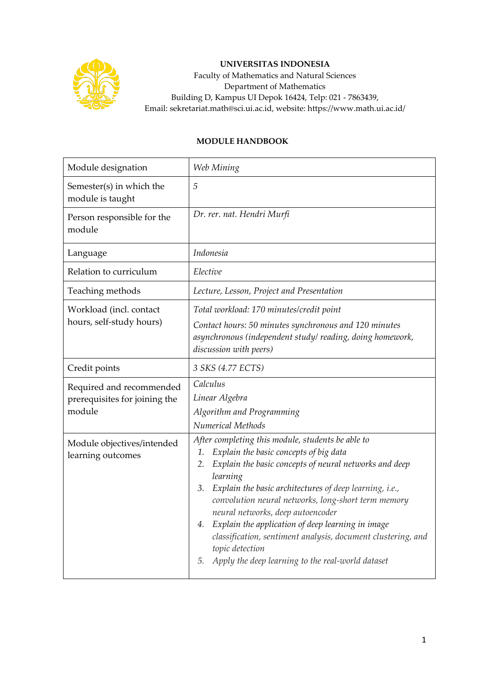

## **UNIVERSITAS INDONESIA**

Faculty of Mathematics and Natural Sciences Department of Mathematics Building D, Kampus UI Depok 16424, Telp: 021 - 7863439, Email: sekretariat.math@sci.ui.ac.id, website: https://www.math.ui.ac.id/

## **MODULE HANDBOOK**

| Module designation                                                  | Web Mining                                                                                                                                                                                                                                                                                                                                                                                                                                                                                                                                          |  |  |
|---------------------------------------------------------------------|-----------------------------------------------------------------------------------------------------------------------------------------------------------------------------------------------------------------------------------------------------------------------------------------------------------------------------------------------------------------------------------------------------------------------------------------------------------------------------------------------------------------------------------------------------|--|--|
| Semester(s) in which the<br>module is taught                        | 5                                                                                                                                                                                                                                                                                                                                                                                                                                                                                                                                                   |  |  |
| Person responsible for the<br>module                                | Dr. rer. nat. Hendri Murfi                                                                                                                                                                                                                                                                                                                                                                                                                                                                                                                          |  |  |
| Language                                                            | Indonesia                                                                                                                                                                                                                                                                                                                                                                                                                                                                                                                                           |  |  |
| Relation to curriculum                                              | Elective                                                                                                                                                                                                                                                                                                                                                                                                                                                                                                                                            |  |  |
| Teaching methods                                                    | Lecture, Lesson, Project and Presentation                                                                                                                                                                                                                                                                                                                                                                                                                                                                                                           |  |  |
| Workload (incl. contact<br>hours, self-study hours)                 | Total workload: 170 minutes/credit point<br>Contact hours: 50 minutes synchronous and 120 minutes<br>asynchronous (independent study/reading, doing homework,<br>discussion with peers)                                                                                                                                                                                                                                                                                                                                                             |  |  |
| Credit points                                                       | 3 SKS (4.77 ECTS)                                                                                                                                                                                                                                                                                                                                                                                                                                                                                                                                   |  |  |
| Required and recommended<br>prerequisites for joining the<br>module | Calculus<br>Linear Algebra<br>Algorithm and Programming<br>Numerical Methods                                                                                                                                                                                                                                                                                                                                                                                                                                                                        |  |  |
| Module objectives/intended<br>learning outcomes                     | After completing this module, students be able to<br>Explain the basic concepts of big data<br>1.<br>Explain the basic concepts of neural networks and deep<br>2.<br>learning<br>Explain the basic architectures of deep learning, i.e.,<br>3.<br>convolution neural networks, long-short term memory<br>neural networks, deep autoencoder<br>Explain the application of deep learning in image<br>4.<br>classification, sentiment analysis, document clustering, and<br>topic detection<br>Apply the deep learning to the real-world dataset<br>5. |  |  |